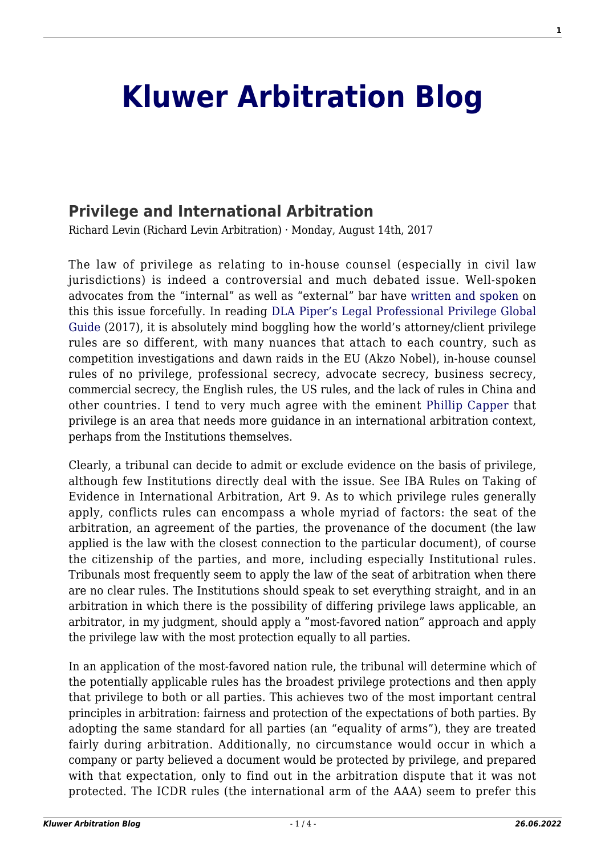## **[Kluwer Arbitration Blog](http://arbitrationblog.kluwerarbitration.com/)**

## **[Privilege and International Arbitration](http://arbitrationblog.kluwerarbitration.com/2017/08/14/privilege-international-arbitration/)**

Richard Levin (Richard Levin Arbitration) · Monday, August 14th, 2017

The law of privilege as relating to in-house counsel (especially in civil law jurisdictions) is indeed a controversial and much debated issue. Well-spoken advocates from the "internal" as well as "external" bar have [written and spoken](http://www.affiches-parisiennes.com/stephanie-fougou-l-aba-reconnait-la-confidentialite-des-avis-de-nos-juristes-d-entreprise-6281.html) on this this issue forcefully. In reading [DLA Piper's Legal Professional Privilege Global](http://www.dlapiperlegalprivilege.com/system/modules/za.co.heliosdesign.dla.lotw/functions/export.pdf?country=all) [Guide](http://www.dlapiperlegalprivilege.com/system/modules/za.co.heliosdesign.dla.lotw/functions/export.pdf?country=all) (2017), it is absolutely mind boggling how the world's attorney/client privilege rules are so different, with many nuances that attach to each country, such as competition investigations and dawn raids in the EU (Akzo Nobel), in-house counsel rules of no privilege, professional secrecy, advocate secrecy, business secrecy, commercial secrecy, the English rules, the US rules, and the lack of rules in China and other countries. I tend to very much agree with the eminent [Phillip Capper](http://globalarbitrationreview.com/article/1140753/white-case-partner-calls-for-privilege-rethink) that privilege is an area that needs more guidance in an international arbitration context, perhaps from the Institutions themselves.

Clearly, a tribunal can decide to admit or exclude evidence on the basis of privilege, although few Institutions directly deal with the issue. See IBA Rules on Taking of Evidence in International Arbitration, Art 9. As to which privilege rules generally apply, conflicts rules can encompass a whole myriad of factors: the seat of the arbitration, an agreement of the parties, the provenance of the document (the law applied is the law with the closest connection to the particular document), of course the citizenship of the parties, and more, including especially Institutional rules. Tribunals most frequently seem to apply the law of the seat of arbitration when there are no clear rules. The Institutions should speak to set everything straight, and in an arbitration in which there is the possibility of differing privilege laws applicable, an arbitrator, in my judgment, should apply a "most-favored nation" approach and apply the privilege law with the most protection equally to all parties.

In an application of the most-favored nation rule, the tribunal will determine which of the potentially applicable rules has the broadest privilege protections and then apply that privilege to both or all parties. This achieves two of the most important central principles in arbitration: fairness and protection of the expectations of both parties. By adopting the same standard for all parties (an "equality of arms"), they are treated fairly during arbitration. Additionally, no circumstance would occur in which a company or party believed a document would be protected by privilege, and prepared with that expectation, only to find out in the arbitration dispute that it was not protected. The ICDR rules (the international arm of the AAA) seem to prefer this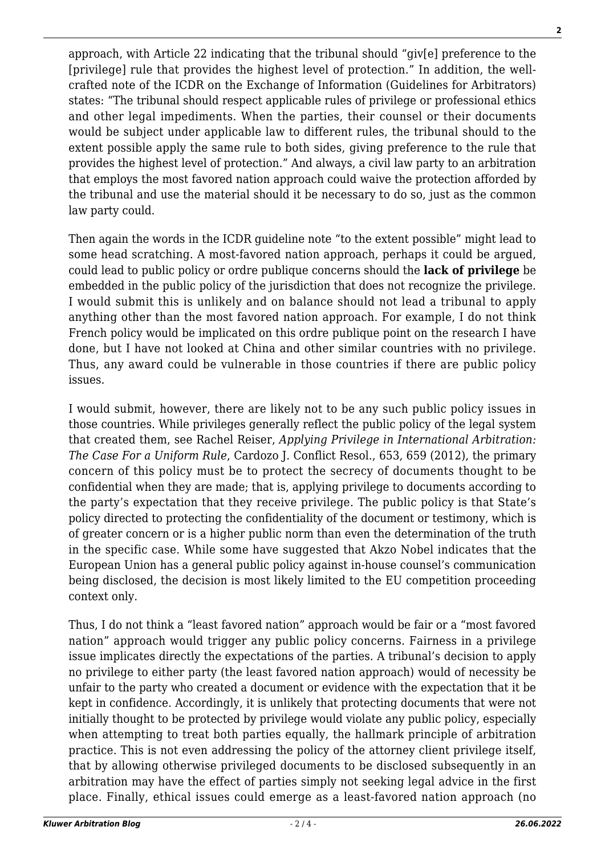approach, with Article 22 indicating that the tribunal should "giv[e] preference to the [privilege] rule that provides the highest level of protection." In addition, the wellcrafted note of the ICDR on the Exchange of Information (Guidelines for Arbitrators) states: "The tribunal should respect applicable rules of privilege or professional ethics and other legal impediments. When the parties, their counsel or their documents would be subject under applicable law to different rules, the tribunal should to the extent possible apply the same rule to both sides, giving preference to the rule that provides the highest level of protection." And always, a civil law party to an arbitration that employs the most favored nation approach could waive the protection afforded by the tribunal and use the material should it be necessary to do so, just as the common law party could.

Then again the words in the ICDR guideline note "to the extent possible" might lead to some head scratching. A most-favored nation approach, perhaps it could be argued, could lead to public policy or ordre publique concerns should the **lack of privilege** be embedded in the public policy of the jurisdiction that does not recognize the privilege. I would submit this is unlikely and on balance should not lead a tribunal to apply anything other than the most favored nation approach. For example, I do not think French policy would be implicated on this ordre publique point on the research I have done, but I have not looked at China and other similar countries with no privilege. Thus, any award could be vulnerable in those countries if there are public policy issues.

I would submit, however, there are likely not to be any such public policy issues in those countries. While privileges generally reflect the public policy of the legal system that created them, see Rachel Reiser, *Applying Privilege in International Arbitration: The Case For a Uniform Rule*, Cardozo J. Conflict Resol., 653, 659 (2012), the primary concern of this policy must be to protect the secrecy of documents thought to be confidential when they are made; that is, applying privilege to documents according to the party's expectation that they receive privilege. The public policy is that State's policy directed to protecting the confidentiality of the document or testimony, which is of greater concern or is a higher public norm than even the determination of the truth in the specific case. While some have suggested that Akzo Nobel indicates that the European Union has a general public policy against in-house counsel's communication being disclosed, the decision is most likely limited to the EU competition proceeding context only.

Thus, I do not think a "least favored nation" approach would be fair or a "most favored nation" approach would trigger any public policy concerns. Fairness in a privilege issue implicates directly the expectations of the parties. A tribunal's decision to apply no privilege to either party (the least favored nation approach) would of necessity be unfair to the party who created a document or evidence with the expectation that it be kept in confidence. Accordingly, it is unlikely that protecting documents that were not initially thought to be protected by privilege would violate any public policy, especially when attempting to treat both parties equally, the hallmark principle of arbitration practice. This is not even addressing the policy of the attorney client privilege itself, that by allowing otherwise privileged documents to be disclosed subsequently in an arbitration may have the effect of parties simply not seeking legal advice in the first place. Finally, ethical issues could emerge as a least-favored nation approach (no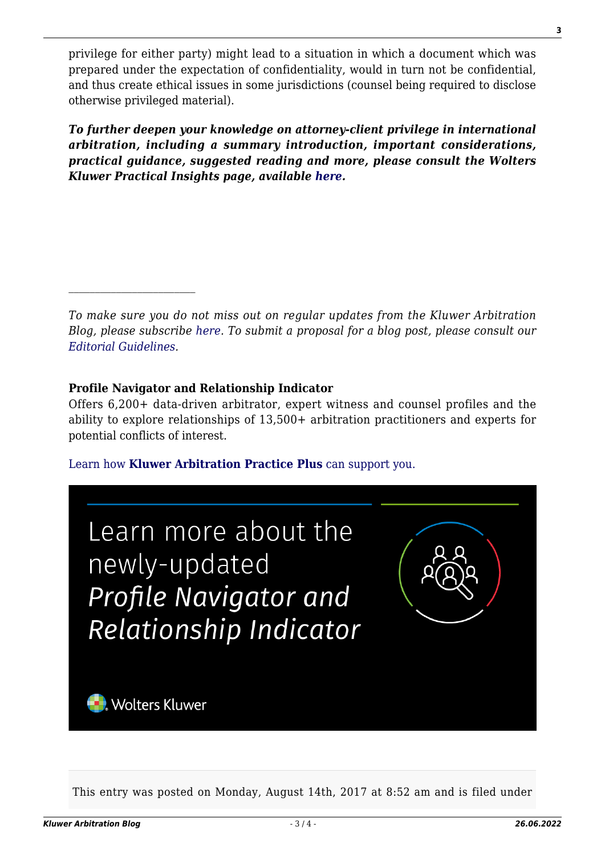privilege for either party) might lead to a situation in which a document which was prepared under the expectation of confidentiality, would in turn not be confidential, and thus create ethical issues in some jurisdictions (counsel being required to disclose otherwise privileged material).

*To further deepen your knowledge on attorney-client privilege in international arbitration, including a summary introduction, important considerations, practical guidance, suggested reading and more, please consult the Wolters Kluwer Practical Insights page, available [here.](https://www.kluwerarbitration.com/practical-content/attorney-client-privilege)*

*To make sure you do not miss out on regular updates from the Kluwer Arbitration Blog, please subscribe [here](http://arbitrationblog.kluwerarbitration.com/newsletter/). To submit a proposal for a blog post, please consult our [Editorial Guidelines.](http://arbitrationblog.kluwerarbitration.com/editorial-guidelines/)*

## **Profile Navigator and Relationship Indicator**

Offers 6,200+ data-driven arbitrator, expert witness and counsel profiles and the ability to explore relationships of 13,500+ arbitration practitioners and experts for potential conflicts of interest.

[Learn how](https://www.wolterskluwer.com/en/solutions/kluwerarbitration/practiceplus?utm_source=arbitrationblog&utm_medium=articleCTA&utm_campaign=article-banner) **[Kluwer Arbitration Practice Plus](https://www.wolterskluwer.com/en/solutions/kluwerarbitration/practiceplus?utm_source=arbitrationblog&utm_medium=articleCTA&utm_campaign=article-banner)** [can support you.](https://www.wolterskluwer.com/en/solutions/kluwerarbitration/practiceplus?utm_source=arbitrationblog&utm_medium=articleCTA&utm_campaign=article-banner)



This entry was posted on Monday, August 14th, 2017 at 8:52 am and is filed under

**3**